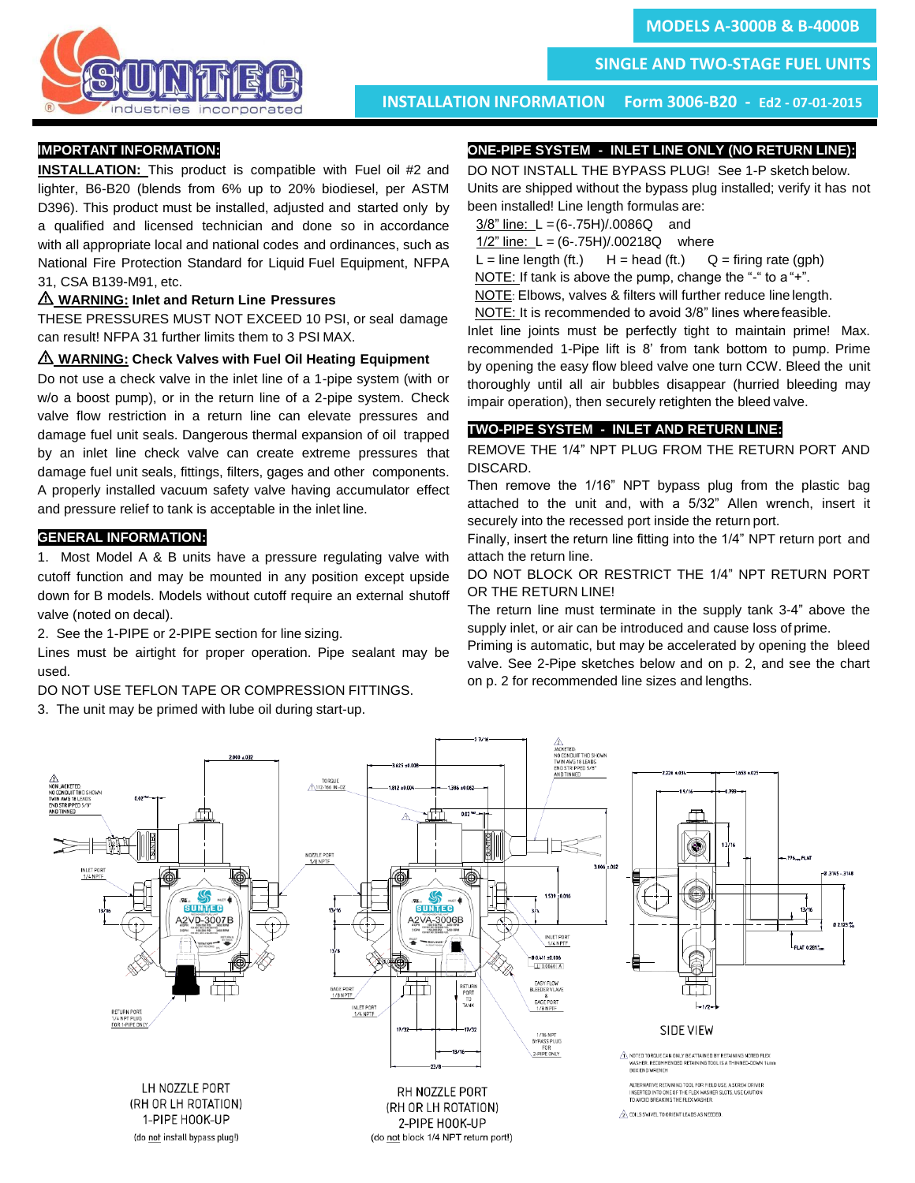

 **SINGLE AND TWO-STAGE FUEL UNITS** 

 **INSTALLATION INFORMATION Form 3006-B20 - Ed2 - 07-01-2015**

## **IMPORTANT INFORMATION:**

**INSTALLATION:** This product is compatible with Fuel oil #2 and lighter, B6-B20 (blends from 6% up to 20% biodiesel, per ASTM D396). This product must be installed, adjusted and started only by a qualified and licensed technician and done so in accordance with all appropriate local and national codes and ordinances, such as National Fire Protection Standard for Liquid Fuel Equipment, NFPA 31, CSA B139-M91, etc.

## I **WARNING: Inlet and Return Line Pressures**

THESE PRESSURES MUST NOT EXCEED 10 PSI, or seal damage can result! NFPA 31 further limits them to 3 PSI MAX.

## I **WARNING: Check Valves with Fuel Oil Heating Equipment**

Do not use a check valve in the inlet line of a 1-pipe system (with or w/o a boost pump), or in the return line of a 2-pipe system. Check valve flow restriction in a return line can elevate pressures and damage fuel unit seals. Dangerous thermal expansion of oil trapped by an inlet line check valve can create extreme pressures that damage fuel unit seals, fittings, filters, gages and other components. A properly installed vacuum safety valve having accumulator effect and pressure relief to tank is acceptable in the inlet line.

## **GENERAL INFORMATION:**

1. Most Model A & B units have a pressure regulating valve with cutoff function and may be mounted in any position except upside down for B models. Models without cutoff require an external shutoff valve (noted on decal).

2. See the 1-PIPE or 2-PIPE section for line sizing.

Lines must be airtight for proper operation. Pipe sealant may be used.

DO NOT USE TEFLON TAPE OR COMPRESSION FITTINGS.

3. The unit may be primed with lube oil during start-up.

# **ONE-PIPE SYSTEM - INLET LINE ONLY (NO RETURN LINE):**

DO NOT INSTALL THE BYPASS PLUG! See 1-P sketch below. Units are shipped without the bypass plug installed; verify it has not been installed! Line length formulas are:

3/8" line: L =(6-.75H)/.0086Q and

1/2" line: L = (6-.75H)/.00218Q where

 $L =$  line length (ft.)  $H =$  head (ft.)  $Q =$  firing rate (gph)

NOTE: If tank is above the pump, change the "-" to a "+".

NOTE: Elbows, valves & filters will further reduce line length.

NOTE: It is recommended to avoid 3/8" lines wherefeasible.

Inlet line joints must be perfectly tight to maintain prime! Max. recommended 1-Pipe lift is 8' from tank bottom to pump. Prime by opening the easy flow bleed valve one turn CCW. Bleed the unit thoroughly until all air bubbles disappear (hurried bleeding may impair operation), then securely retighten the bleed valve.

# **TWO-PIPE SYSTEM - INLET AND RETURN LINE:**

REMOVE THE 1/4" NPT PLUG FROM THE RETURN PORT AND DISCARD.

Then remove the 1/16" NPT bypass plug from the plastic bag attached to the unit and, with a 5/32" Allen wrench, insert it securely into the recessed port inside the return port.

Finally, insert the return line fitting into the 1/4" NPT return port and attach the return line.

# DO NOT BLOCK OR RESTRICT THE 1/4" NPT RETURN PORT OR THE RETURN LINE!

The return line must terminate in the supply tank 3-4" above the supply inlet, or air can be introduced and cause loss of prime.

Priming is automatic, but may be accelerated by opening the bleed valve. See 2-Pipe sketches below and on p. 2, and see the chart on p. 2 for recommended line sizes and lengths.